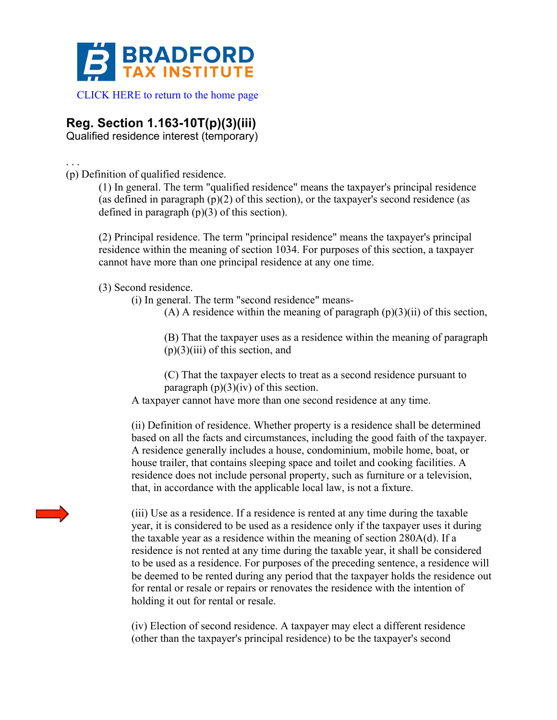

## **Reg. Section 1.163-10T(p)(3)(iii)**

Qualified residence interest (temporary)

(p) Definition of qualified residence.

. . .

(1) In general. The term "qualified residence" means the taxpayer's principal residence (as defined in paragraph  $(p)(2)$  of this section), or the taxpayer's second residence (as defined in paragraph (p)(3) of this section).

(2) Principal residence. The term "principal residence" means the taxpayer's principal residence within the meaning of section 1034. For purposes of this section, a taxpayer cannot have more than one principal residence at any one time.

(3) Second residence.

(i) In general. The term "second residence" means-

(A) A residence within the meaning of paragraph  $(p)(3)(ii)$  of this section,

(B) That the taxpayer uses as a residence within the meaning of paragraph  $(p)(3)(iii)$  of this section, and

(C) That the taxpayer elects to treat as a second residence pursuant to paragraph  $(p)(3)(iv)$  of this section.

A taxpayer cannot have more than one second residence at any time.

(ii) Definition of residence. Whether property is a residence shall be determined based on all the facts and circumstances, including the good faith of the taxpayer. A residence generally includes a house, condominium, mobile home, boat, or house trailer, that contains sleeping space and toilet and cooking facilities. A residence does not include personal property, such as furniture or a television, that, in accordance with the applicable local law, is not a fixture.

(iii) Use as a residence. If a residence is rented at any time during the taxable year, it is considered to be used as a residence only if the taxpayer uses it during the taxable year as a residence within the meaning of section 280A(d). If a residence is not rented at any time during the taxable year, it shall be considered to be used as a residence. For purposes of the preceding sentence, a residence will be deemed to be rented during any period that the taxpayer holds the residence out for rental or resale or repairs or renovates the residence with the intention of holding it out for rental or resale.

(iv) Election of second residence. A taxpayer may elect a different residence (other than the taxpayer's principal residence) to be the taxpayer's second

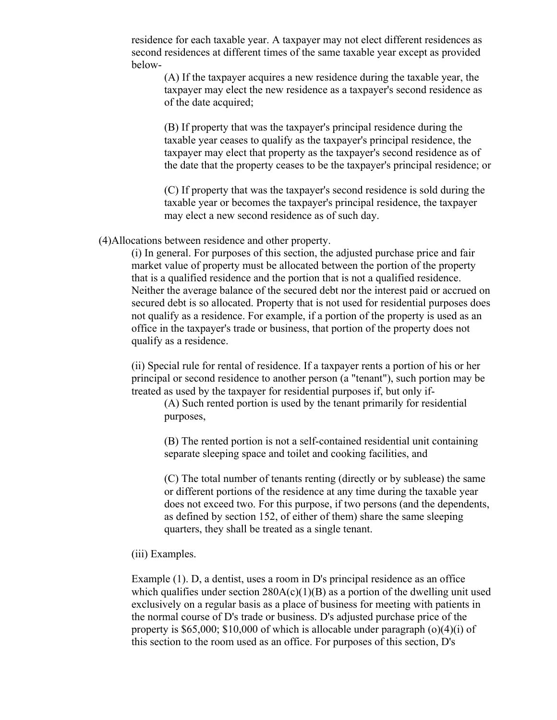residence for each taxable year. A taxpayer may not elect different residences as second residences at different times of the same taxable year except as provided below-

(A) If the taxpayer acquires a new residence during the taxable year, the taxpayer may elect the new residence as a taxpayer's second residence as of the date acquired;

(B) If property that was the taxpayer's principal residence during the taxable year ceases to qualify as the taxpayer's principal residence, the taxpayer may elect that property as the taxpayer's second residence as of the date that the property ceases to be the taxpayer's principal residence; or

(C) If property that was the taxpayer's second residence is sold during the taxable year or becomes the taxpayer's principal residence, the taxpayer may elect a new second residence as of such day.

(4)Allocations between residence and other property.

(i) In general. For purposes of this section, the adjusted purchase price and fair market value of property must be allocated between the portion of the property that is a qualified residence and the portion that is not a qualified residence. Neither the average balance of the secured debt nor the interest paid or accrued on secured debt is so allocated. Property that is not used for residential purposes does not qualify as a residence. For example, if a portion of the property is used as an office in the taxpayer's trade or business, that portion of the property does not qualify as a residence.

(ii) Special rule for rental of residence. If a taxpayer rents a portion of his or her principal or second residence to another person (a "tenant"), such portion may be treated as used by the taxpayer for residential purposes if, but only if-

(A) Such rented portion is used by the tenant primarily for residential purposes,

(B) The rented portion is not a self-contained residential unit containing separate sleeping space and toilet and cooking facilities, and

(C) The total number of tenants renting (directly or by sublease) the same or different portions of the residence at any time during the taxable year does not exceed two. For this purpose, if two persons (and the dependents, as defined by section 152, of either of them) share the same sleeping quarters, they shall be treated as a single tenant.

## (iii) Examples.

Example (1). D, a dentist, uses a room in D's principal residence as an office which qualifies under section  $280A(c)(1)(B)$  as a portion of the dwelling unit used exclusively on a regular basis as a place of business for meeting with patients in the normal course of D's trade or business. D's adjusted purchase price of the property is \$65,000; \$10,000 of which is allocable under paragraph  $(o)(4)(i)$  of this section to the room used as an office. For purposes of this section, D's